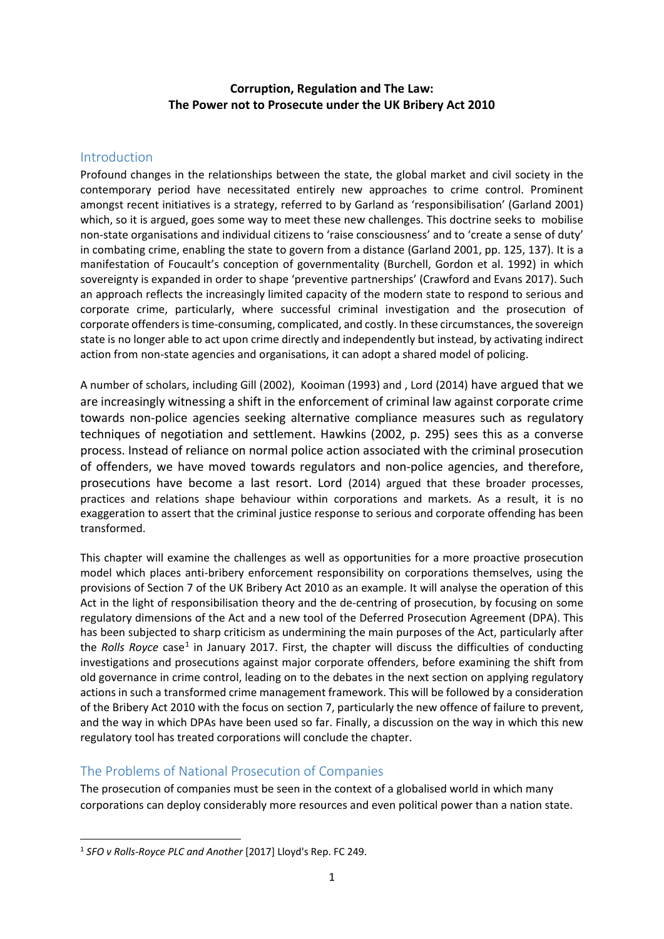## **Corruption, Regulation and The Law: The Power not to Prosecute under the UK Bribery Act 2010**

### Introduction

Profound changes in the relationships between the state, the global market and civil society in the contemporary period have necessitated entirely new approaches to crime control. Prominent amongst recent initiatives is a strategy, referred to by Garland as 'responsibilisation' (Garland 2001) which, so it is argued, goes some way to meet these new challenges. This doctrine seeks to mobilise non-state organisations and individual citizens to 'raise consciousness' and to 'create a sense of duty' in combating crime, enabling the state to govern from a distance (Garland 2001, pp. 125, 137). It is a manifestation of Foucault's conception of governmentality (Burchell, Gordon et al. 1992) in which sovereignty is expanded in order to shape 'preventive partnerships' (Crawford and Evans 2017). Such an approach reflects the increasingly limited capacity of the modern state to respond to serious and corporate crime, particularly, where successful criminal investigation and the prosecution of corporate offenders is time-consuming, complicated, and costly. In these circumstances, the sovereign state is no longer able to act upon crime directly and independently but instead, by activating indirect action from non-state agencies and organisations, it can adopt a shared model of policing.

A number of scholars, including Gill (2002), Kooiman (1993) and , Lord (2014) have argued that we are increasingly witnessing a shift in the enforcement of criminal law against corporate crime towards non-police agencies seeking alternative compliance measures such as regulatory techniques of negotiation and settlement. Hawkins (2002, p. 295) sees this as a converse process. Instead of reliance on normal police action associated with the criminal prosecution of offenders, we have moved towards regulators and non-police agencies, and therefore, prosecutions have become a last resort. Lord (2014) argued that these broader processes, practices and relations shape behaviour within corporations and markets. As a result, it is no exaggeration to assert that the criminal justice response to serious and corporate offending has been transformed.

This chapter will examine the challenges as well as opportunities for a more proactive prosecution model which places anti-bribery enforcement responsibility on corporations themselves, using the provisions of Section 7 of the UK Bribery Act 2010 as an example. It will analyse the operation of this Act in the light of responsibilisation theory and the de-centring of prosecution, by focusing on some regulatory dimensions of the Act and a new tool of the Deferred Prosecution Agreement (DPA). This has been subjected to sharp criticism as undermining the main purposes of the Act, particularly after the *Rolls Royce* case<sup>[1](#page-0-0)</sup> in January 2017. First, the chapter will discuss the difficulties of conducting investigations and prosecutions against major corporate offenders, before examining the shift from old governance in crime control, leading on to the debates in the next section on applying regulatory actions in such a transformed crime management framework. This will be followed by a consideration of the Bribery Act 2010 with the focus on section 7, particularly the new offence of failure to prevent, and the way in which DPAs have been used so far. Finally, a discussion on the way in which this new regulatory tool has treated corporations will conclude the chapter.

# The Problems of National Prosecution of Companies

The prosecution of companies must be seen in the context of a globalised world in which many corporations can deploy considerably more resources and even political power than a nation state.

<span id="page-0-0"></span> <sup>1</sup> *SFO v Rolls-Royce PLC and Another* [2017] Lloyd's Rep. FC 249.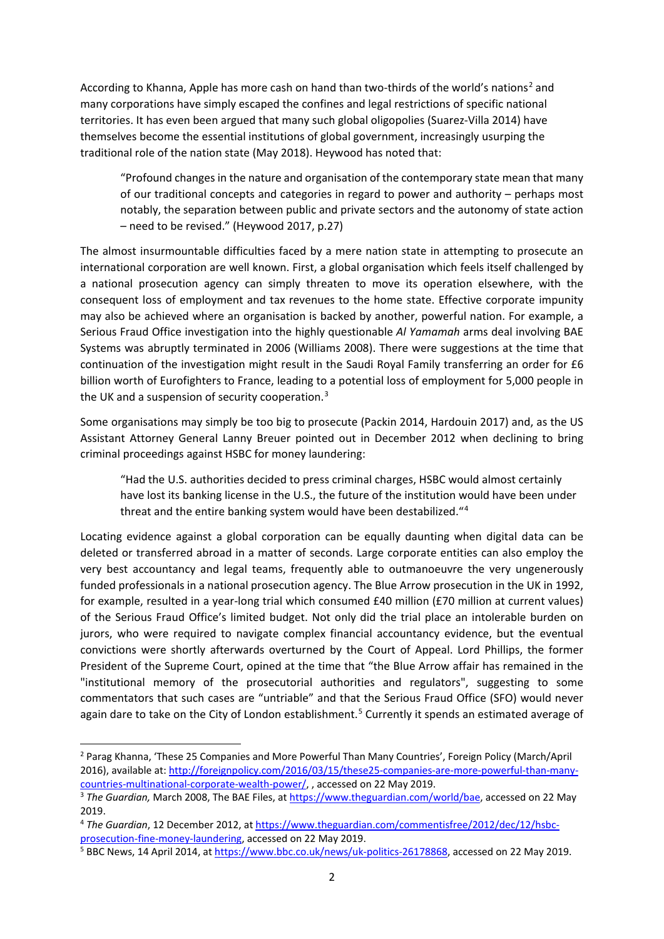According to Khanna, Apple has more cash on hand than two-thirds of the world's nations<sup>[2](#page-1-0)</sup> and many corporations have simply escaped the confines and legal restrictions of specific national territories. It has even been argued that many such global oligopolies (Suarez-Villa 2014) have themselves become the essential institutions of global government, increasingly usurping the traditional role of the nation state (May 2018). Heywood has noted that:

"Profound changes in the nature and organisation of the contemporary state mean that many of our traditional concepts and categories in regard to power and authority – perhaps most notably, the separation between public and private sectors and the autonomy of state action – need to be revised." (Heywood 2017, p.27)

The almost insurmountable difficulties faced by a mere nation state in attempting to prosecute an international corporation are well known. First, a global organisation which feels itself challenged by a national prosecution agency can simply threaten to move its operation elsewhere, with the consequent loss of employment and tax revenues to the home state. Effective corporate impunity may also be achieved where an organisation is backed by another, powerful nation. For example, a Serious Fraud Office investigation into the highly questionable *Al Yamamah* arms deal involving BAE Systems was abruptly terminated in 2006 (Williams 2008). There were suggestions at the time that continuation of the investigation might result in the Saudi Royal Family transferring an order for £6 billion worth of Eurofighters to France, leading to a potential loss of employment for 5,000 people in the UK and a suspension of security cooperation.<sup>[3](#page-1-1)</sup>

Some organisations may simply be too big to prosecute (Packin 2014, Hardouin 2017) and, as the US Assistant Attorney General Lanny Breuer pointed out in December 2012 when declining to bring criminal proceedings against HSBC for money laundering:

"Had the U.S. authorities decided to press criminal charges, HSBC would almost certainly have lost its banking license in the U.S., the future of the institution would have been under threat and the entire banking system would have been destabilized."[4](#page-1-2)

Locating evidence against a global corporation can be equally daunting when digital data can be deleted or transferred abroad in a matter of seconds. Large corporate entities can also employ the very best accountancy and legal teams, frequently able to outmanoeuvre the very ungenerously funded professionals in a national prosecution agency. The Blue Arrow prosecution in the UK in 1992, for example, resulted in a year-long trial which consumed £40 million (£70 million at current values) of the Serious Fraud Office's limited budget. Not only did the trial place an intolerable burden on jurors, who were required to navigate complex financial accountancy evidence, but the eventual convictions were shortly afterwards overturned by the Court of Appeal. Lord Phillips, the former President of the Supreme Court, opined at the time that "the Blue Arrow affair has remained in the "institutional memory of the prosecutorial authorities and regulators", suggesting to some commentators that such cases are "untriable" and that the Serious Fraud Office (SFO) would never again dare to take on the City of London establishment.<sup>[5](#page-1-3)</sup> Currently it spends an estimated average of

<span id="page-1-0"></span> <sup>2</sup> Parag Khanna, 'These 25 Companies and More Powerful Than Many Countries', Foreign Policy (March/April 2016), available at[: http://foreignpolicy.com/2016/03/15/these25-companies-are-more-powerful-than-many](http://foreignpolicy.com/2016/03/15/these25-companies-are-more-powerful-than-many-countries-multinational-corporate-wealth-power/)[countries-multinational-corporate-wealth-power/,](http://foreignpolicy.com/2016/03/15/these25-companies-are-more-powerful-than-many-countries-multinational-corporate-wealth-power/) , accessed on 22 May 2019.

<span id="page-1-1"></span><sup>&</sup>lt;sup>3</sup> The Guardian, March 2008, The BAE Files, a[t https://www.theguardian.com/world/bae,](https://www.theguardian.com/world/bae) accessed on 22 May 2019.

<span id="page-1-2"></span><sup>4</sup> *The Guardian*, 12 December 2012, a[t https://www.theguardian.com/commentisfree/2012/dec/12/hsbc](https://www.theguardian.com/commentisfree/2012/dec/12/hsbc-prosecution-fine-money-laundering)[prosecution-fine-money-laundering,](https://www.theguardian.com/commentisfree/2012/dec/12/hsbc-prosecution-fine-money-laundering) accessed on 22 May 2019.

<span id="page-1-3"></span><sup>5</sup> BBC News, 14 April 2014, a[t https://www.bbc.co.uk/news/uk-politics-26178868,](https://www.bbc.co.uk/news/uk-politics-26178868) accessed on 22 May 2019.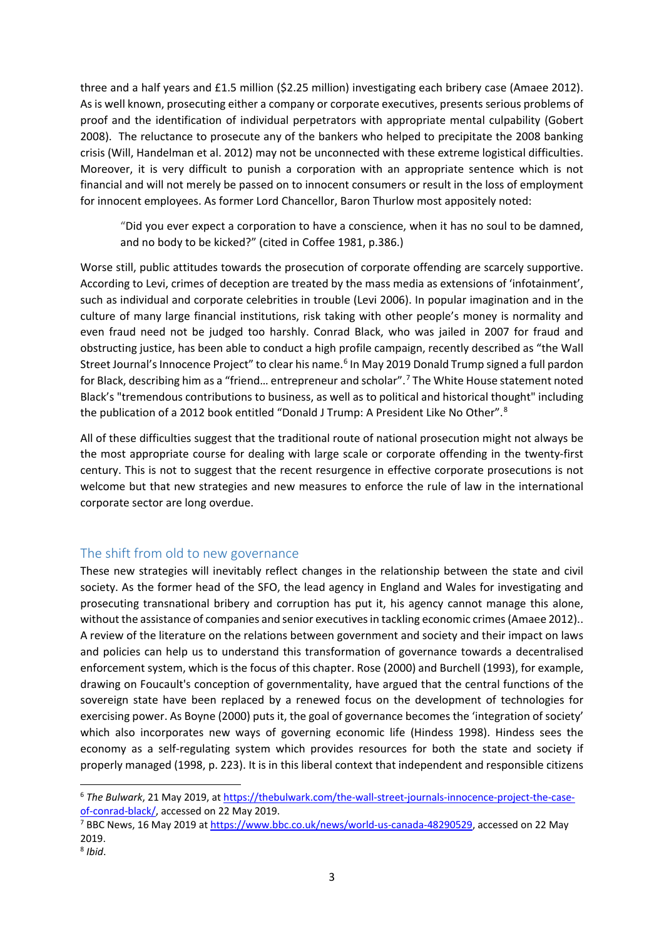three and a half years and £1.5 million (\$2.25 million) investigating each bribery case (Amaee 2012). As is well known, prosecuting either a company or corporate executives, presents serious problems of proof and the identification of individual perpetrators with appropriate mental culpability (Gobert 2008). The reluctance to prosecute any of the bankers who helped to precipitate the 2008 banking crisis (Will, Handelman et al. 2012) may not be unconnected with these extreme logistical difficulties. Moreover, it is very difficult to punish a corporation with an appropriate sentence which is not financial and will not merely be passed on to innocent consumers or result in the loss of employment for innocent employees. As former Lord Chancellor, Baron Thurlow most appositely noted:

"Did you ever expect a corporation to have a conscience, when it has no soul to be damned, and no body to be kicked?" (cited in Coffee 1981, p.386.)

Worse still, public attitudes towards the prosecution of corporate offending are scarcely supportive. According to Levi, crimes of deception are treated by the mass media as extensions of 'infotainment', such as individual and corporate celebrities in trouble (Levi 2006). In popular imagination and in the culture of many large financial institutions, risk taking with other people's money is normality and even fraud need not be judged too harshly. Conrad Black, who was jailed in 2007 for fraud and obstructing justice, has been able to conduct a high profile campaign, recently described as "the Wall Street Journal's Innocence Project" to clear his name.<sup>[6](#page-2-0)</sup> In May 2019 Donald Trump signed a full pardon for Black, describing him as a "friend… entrepreneur and scholar".[7](#page-2-1) The White House statement noted Black's "tremendous contributions to business, as well as to political and historical thought" including the publication of a 2012 book entitled "Donald J Trump: A President Like No Other".<sup>[8](#page-2-2)</sup>

All of these difficulties suggest that the traditional route of national prosecution might not always be the most appropriate course for dealing with large scale or corporate offending in the twenty-first century. This is not to suggest that the recent resurgence in effective corporate prosecutions is not welcome but that new strategies and new measures to enforce the rule of law in the international corporate sector are long overdue.

## The shift from old to new governance

These new strategies will inevitably reflect changes in the relationship between the state and civil society. As the former head of the SFO, the lead agency in England and Wales for investigating and prosecuting transnational bribery and corruption has put it, his agency cannot manage this alone, without the assistance of companies and senior executives in tackling economic crimes (Amaee 2012).. A review of the literature on the relations between government and society and their impact on laws and policies can help us to understand this transformation of governance towards a decentralised enforcement system, which is the focus of this chapter. Rose (2000) and Burchell (1993), for example, drawing on Foucault's conception of governmentality, have argued that the central functions of the sovereign state have been replaced by a renewed focus on the development of technologies for exercising power. As Boyne (2000) puts it, the goal of governance becomes the 'integration of society' which also incorporates new ways of governing economic life (Hindess 1998). Hindess sees the economy as a self-regulating system which provides resources for both the state and society if properly managed (1998, p. 223). It is in this liberal context that independent and responsible citizens

<span id="page-2-0"></span> <sup>6</sup> *The Bulwark*, 21 May 2019, a[t https://thebulwark.com/the-wall-street-journals-innocence-project-the-case](https://thebulwark.com/the-wall-street-journals-innocence-project-the-case-of-conrad-black/)[of-conrad-black/,](https://thebulwark.com/the-wall-street-journals-innocence-project-the-case-of-conrad-black/) accessed on 22 May 2019.

<span id="page-2-1"></span><sup>&</sup>lt;sup>7</sup> BBC News, 16 May 2019 a[t https://www.bbc.co.uk/news/world-us-canada-48290529,](https://www.bbc.co.uk/news/world-us-canada-48290529) accessed on 22 May 2019.

<span id="page-2-2"></span><sup>8</sup> *Ibid*.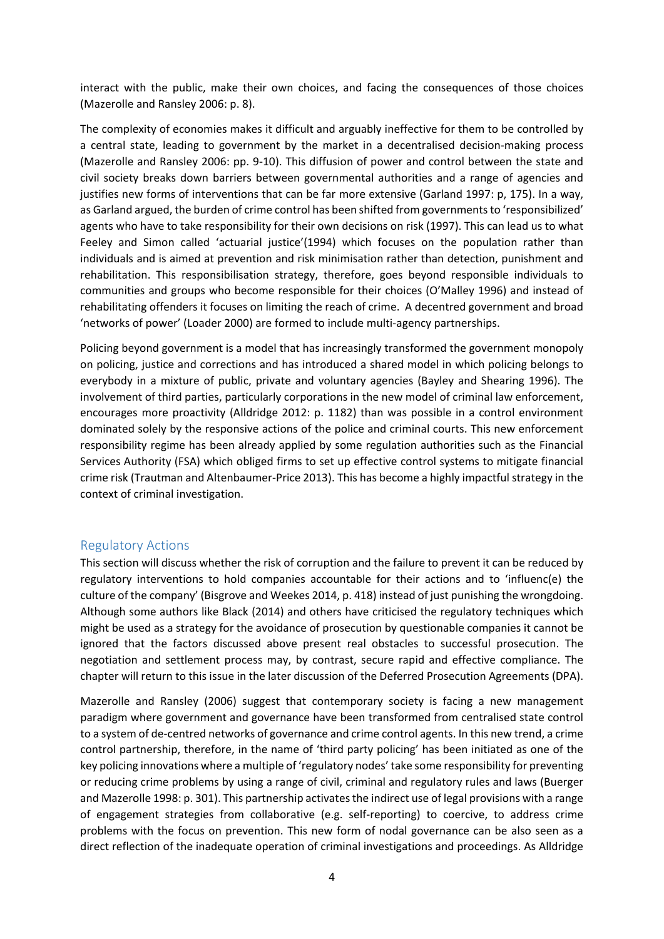interact with the public, make their own choices, and facing the consequences of those choices (Mazerolle and Ransley 2006: p. 8).

The complexity of economies makes it difficult and arguably ineffective for them to be controlled by a central state, leading to government by the market in a decentralised decision-making process (Mazerolle and Ransley 2006: pp. 9-10). This diffusion of power and control between the state and civil society breaks down barriers between governmental authorities and a range of agencies and justifies new forms of interventions that can be far more extensive (Garland 1997: p, 175). In a way, as Garland argued, the burden of crime control has been shifted from governments to 'responsibilized' agents who have to take responsibility for their own decisions on risk (1997). This can lead us to what Feeley and Simon called 'actuarial justice'(1994) which focuses on the population rather than individuals and is aimed at prevention and risk minimisation rather than detection, punishment and rehabilitation. This responsibilisation strategy, therefore, goes beyond responsible individuals to communities and groups who become responsible for their choices (O'Malley 1996) and instead of rehabilitating offenders it focuses on limiting the reach of crime. A decentred government and broad 'networks of power' (Loader 2000) are formed to include multi-agency partnerships.

Policing beyond government is a model that has increasingly transformed the government monopoly on policing, justice and corrections and has introduced a shared model in which policing belongs to everybody in a mixture of public, private and voluntary agencies (Bayley and Shearing 1996). The involvement of third parties, particularly corporations in the new model of criminal law enforcement, encourages more proactivity (Alldridge 2012: p. 1182) than was possible in a control environment dominated solely by the responsive actions of the police and criminal courts. This new enforcement responsibility regime has been already applied by some regulation authorities such as the Financial Services Authority (FSA) which obliged firms to set up effective control systems to mitigate financial crime risk (Trautman and Altenbaumer-Price 2013). This has become a highly impactful strategy in the context of criminal investigation.

#### Regulatory Actions

This section will discuss whether the risk of corruption and the failure to prevent it can be reduced by regulatory interventions to hold companies accountable for their actions and to 'influenc(e) the culture of the company' (Bisgrove and Weekes 2014, p. 418) instead of just punishing the wrongdoing. Although some authors like Black (2014) and others have criticised the regulatory techniques which might be used as a strategy for the avoidance of prosecution by questionable companies it cannot be ignored that the factors discussed above present real obstacles to successful prosecution. The negotiation and settlement process may, by contrast, secure rapid and effective compliance. The chapter will return to this issue in the later discussion of the Deferred Prosecution Agreements (DPA).

Mazerolle and Ransley (2006) suggest that contemporary society is facing a new management paradigm where government and governance have been transformed from centralised state control to a system of de-centred networks of governance and crime control agents. In this new trend, a crime control partnership, therefore, in the name of 'third party policing' has been initiated as one of the key policing innovations where a multiple of 'regulatory nodes' take some responsibility for preventing or reducing crime problems by using a range of civil, criminal and regulatory rules and laws (Buerger and Mazerolle 1998: p. 301). This partnership activates the indirect use of legal provisions with a range of engagement strategies from collaborative (e.g. self-reporting) to coercive, to address crime problems with the focus on prevention. This new form of nodal governance can be also seen as a direct reflection of the inadequate operation of criminal investigations and proceedings. As Alldridge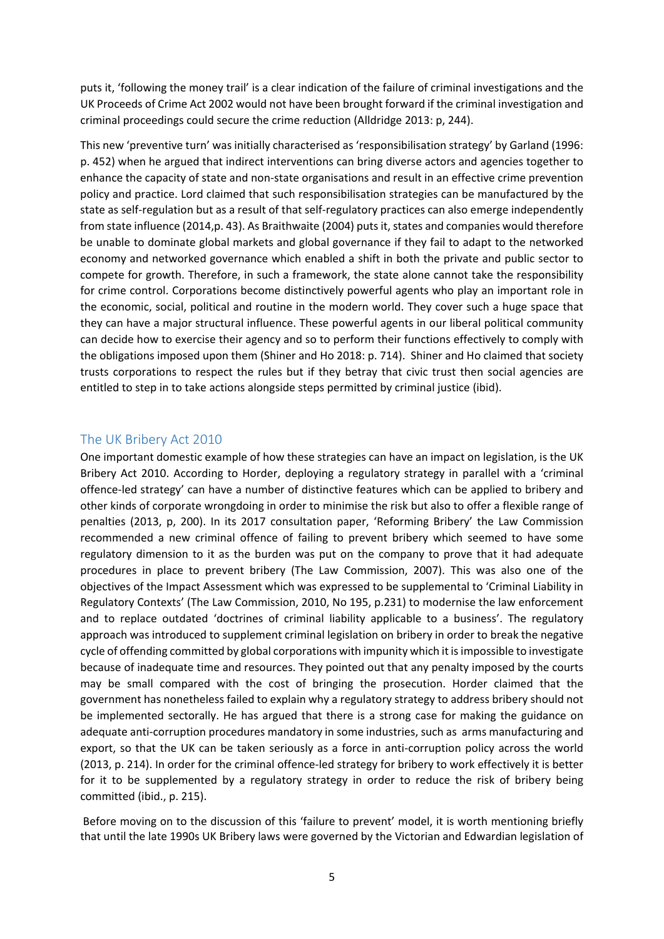puts it, 'following the money trail' is a clear indication of the failure of criminal investigations and the UK Proceeds of Crime Act 2002 would not have been brought forward if the criminal investigation and criminal proceedings could secure the crime reduction (Alldridge 2013: p, 244).

This new 'preventive turn' was initially characterised as 'responsibilisation strategy' by Garland (1996: p. 452) when he argued that indirect interventions can bring diverse actors and agencies together to enhance the capacity of state and non-state organisations and result in an effective crime prevention policy and practice. Lord claimed that such responsibilisation strategies can be manufactured by the state as self-regulation but as a result of that self-regulatory practices can also emerge independently from state influence (2014,p. 43). As Braithwaite (2004) puts it, states and companies would therefore be unable to dominate global markets and global governance if they fail to adapt to the networked economy and networked governance which enabled a shift in both the private and public sector to compete for growth. Therefore, in such a framework, the state alone cannot take the responsibility for crime control. Corporations become distinctively powerful agents who play an important role in the economic, social, political and routine in the modern world. They cover such a huge space that they can have a major structural influence. These powerful agents in our liberal political community can decide how to exercise their agency and so to perform their functions effectively to comply with the obligations imposed upon them (Shiner and Ho 2018: p. 714). Shiner and Ho claimed that society trusts corporations to respect the rules but if they betray that civic trust then social agencies are entitled to step in to take actions alongside steps permitted by criminal justice (ibid).

#### The UK Bribery Act 2010

One important domestic example of how these strategies can have an impact on legislation, is the UK Bribery Act 2010. According to Horder, deploying a regulatory strategy in parallel with a 'criminal offence-led strategy' can have a number of distinctive features which can be applied to bribery and other kinds of corporate wrongdoing in order to minimise the risk but also to offer a flexible range of penalties (2013, p, 200). In its 2017 consultation paper, 'Reforming Bribery' the Law Commission recommended a new criminal offence of failing to prevent bribery which seemed to have some regulatory dimension to it as the burden was put on the company to prove that it had adequate procedures in place to prevent bribery (The Law Commission, 2007). This was also one of the objectives of the Impact Assessment which was expressed to be supplemental to 'Criminal Liability in Regulatory Contexts' (The Law Commission, 2010, No 195, p.231) to modernise the law enforcement and to replace outdated 'doctrines of criminal liability applicable to a business'. The regulatory approach was introduced to supplement criminal legislation on bribery in order to break the negative cycle of offending committed by global corporations with impunity which it is impossible to investigate because of inadequate time and resources. They pointed out that any penalty imposed by the courts may be small compared with the cost of bringing the prosecution. Horder claimed that the government has nonetheless failed to explain why a regulatory strategy to address bribery should not be implemented sectorally. He has argued that there is a strong case for making the guidance on adequate anti-corruption procedures mandatory in some industries, such as arms manufacturing and export, so that the UK can be taken seriously as a force in anti-corruption policy across the world (2013, p. 214). In order for the criminal offence-led strategy for bribery to work effectively it is better for it to be supplemented by a regulatory strategy in order to reduce the risk of bribery being committed (ibid., p. 215).

Before moving on to the discussion of this 'failure to prevent' model, it is worth mentioning briefly that until the late 1990s UK Bribery laws were governed by the Victorian and Edwardian legislation of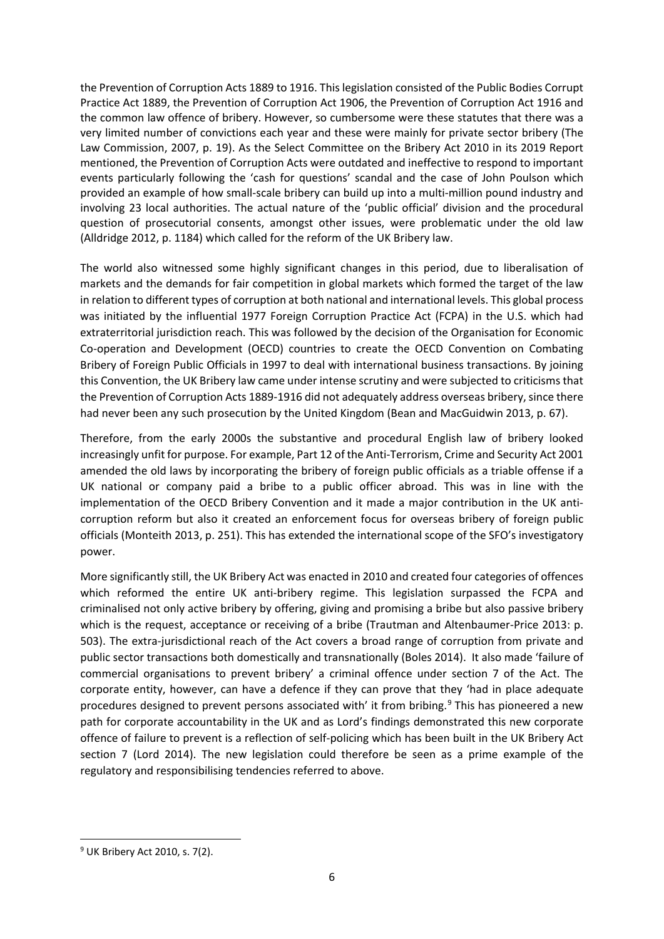the Prevention of Corruption Acts 1889 to 1916. This legislation consisted of the Public Bodies Corrupt Practice Act 1889, the Prevention of Corruption Act 1906, the Prevention of Corruption Act 1916 and the common law offence of bribery. However, so cumbersome were these statutes that there was a very limited number of convictions each year and these were mainly for private sector bribery (The Law Commission, 2007, p. 19). As the Select Committee on the Bribery Act 2010 in its 2019 Report mentioned, the Prevention of Corruption Acts were outdated and ineffective to respond to important events particularly following the 'cash for questions' scandal and the case of John Poulson which provided an example of how small-scale bribery can build up into a multi-million pound industry and involving 23 local authorities. The actual nature of the 'public official' division and the procedural question of prosecutorial consents, amongst other issues, were problematic under the old law (Alldridge 2012, p. 1184) which called for the reform of the UK Bribery law.

The world also witnessed some highly significant changes in this period, due to liberalisation of markets and the demands for fair competition in global markets which formed the target of the law in relation to different types of corruption at both national and international levels. This global process was initiated by the influential 1977 Foreign Corruption Practice Act (FCPA) in the U.S. which had extraterritorial jurisdiction reach. This was followed by the decision of the Organisation for Economic Co-operation and Development (OECD) countries to create the OECD Convention on Combating Bribery of Foreign Public Officials in 1997 to deal with international business transactions. By joining this Convention, the UK Bribery law came under intense scrutiny and were subjected to criticisms that the Prevention of Corruption Acts 1889-1916 did not adequately address overseas bribery, since there had never been any such prosecution by the United Kingdom (Bean and MacGuidwin 2013, p. 67).

Therefore, from the early 2000s the substantive and procedural English law of bribery looked increasingly unfit for purpose. For example, Part 12 of the Anti-Terrorism, Crime and Security Act 2001 amended the old laws by incorporating the bribery of foreign public officials as a triable offense if a UK national or company paid a bribe to a public officer abroad. This was in line with the implementation of the OECD Bribery Convention and it made a major contribution in the UK anticorruption reform but also it created an enforcement focus for overseas bribery of foreign public officials (Monteith 2013, p. 251). This has extended the international scope of the SFO's investigatory power.

More significantly still, the UK Bribery Act was enacted in 2010 and created four categories of offences which reformed the entire UK anti-bribery regime. This legislation surpassed the FCPA and criminalised not only active bribery by offering, giving and promising a bribe but also passive bribery which is the request, acceptance or receiving of a bribe (Trautman and Altenbaumer-Price 2013: p. 503). The extra-jurisdictional reach of the Act covers a broad range of corruption from private and public sector transactions both domestically and transnationally (Boles 2014). It also made 'failure of commercial organisations to prevent bribery' a criminal offence under section 7 of the Act. The corporate entity, however, can have a defence if they can prove that they 'had in place adequate procedures designed to prevent persons associated with' it from bribing.<sup>[9](#page-5-0)</sup> This has pioneered a new path for corporate accountability in the UK and as Lord's findings demonstrated this new corporate offence of failure to prevent is a reflection of self-policing which has been built in the UK Bribery Act section 7 (Lord 2014). The new legislation could therefore be seen as a prime example of the regulatory and responsibilising tendencies referred to above.

<span id="page-5-0"></span> <sup>9</sup> UK Bribery Act 2010, s. 7(2).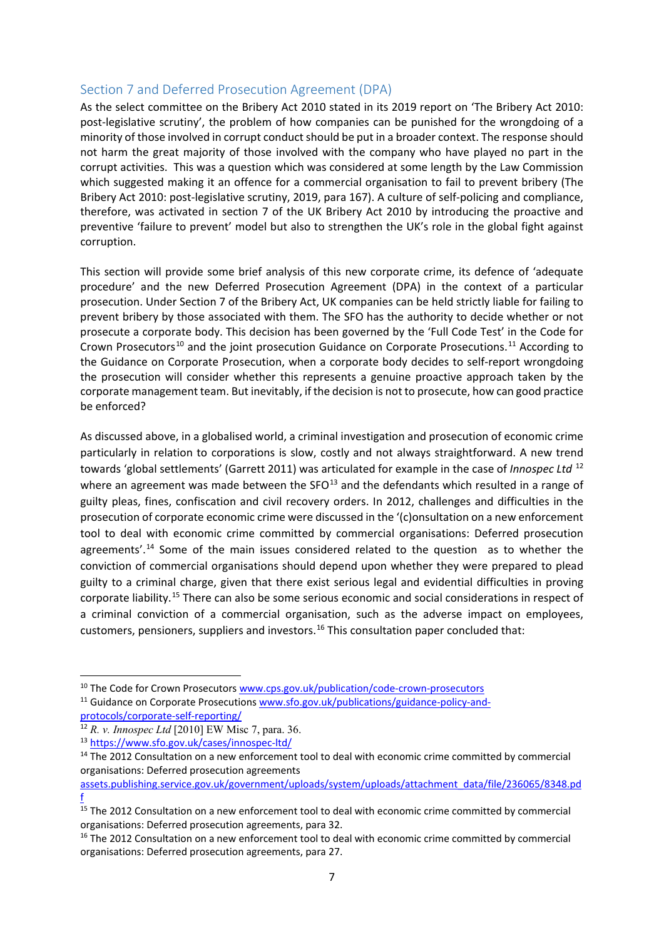### Section 7 and Deferred Prosecution Agreement (DPA)

As the select committee on the Bribery Act 2010 stated in its 2019 report on 'The Bribery Act 2010: post-legislative scrutiny', the problem of how companies can be punished for the wrongdoing of a minority of those involved in corrupt conduct should be put in a broader context. The response should not harm the great majority of those involved with the company who have played no part in the corrupt activities. This was a question which was considered at some length by the Law Commission which suggested making it an offence for a commercial organisation to fail to prevent bribery (The Bribery Act 2010: post-legislative scrutiny, 2019, para 167). A culture of self-policing and compliance, therefore, was activated in section 7 of the UK Bribery Act 2010 by introducing the proactive and preventive 'failure to prevent' model but also to strengthen the UK's role in the global fight against corruption.

This section will provide some brief analysis of this new corporate crime, its defence of 'adequate procedure' and the new Deferred Prosecution Agreement (DPA) in the context of a particular prosecution. Under Section 7 of the Bribery Act, UK companies can be held strictly liable for failing to prevent bribery by those associated with them. The SFO has the authority to decide whether or not prosecute a corporate body. This decision has been governed by the 'Full Code Test' in the Code for Crown Prosecutors<sup>[10](#page-6-0)</sup> and the joint prosecution Guidance on Corporate Prosecutions.<sup>[11](#page-6-1)</sup> According to the Guidance on Corporate Prosecution, when a corporate body decides to self-report wrongdoing the prosecution will consider whether this represents a genuine proactive approach taken by the corporate management team. But inevitably, if the decision is not to prosecute, how can good practice be enforced?

As discussed above, in a globalised world, a criminal investigation and prosecution of economic crime particularly in relation to corporations is slow, costly and not always straightforward. A new trend towards 'global settlements' (Garrett 2011) was articulated for example in the case of *Innospec Ltd* [12](#page-6-2) where an agreement was made between the  $SFO^{13}$  $SFO^{13}$  $SFO^{13}$  and the defendants which resulted in a range of guilty pleas, fines, confiscation and civil recovery orders. In 2012, challenges and difficulties in the prosecution of corporate economic crime were discussed in the '(c)onsultation on a new enforcement tool to deal with economic crime committed by commercial organisations: Deferred prosecution agreements'.<sup>[14](#page-6-4)</sup> Some of the main issues considered related to the question as to whether the conviction of commercial organisations should depend upon whether they were prepared to plead guilty to a criminal charge, given that there exist serious legal and evidential difficulties in proving corporate liability.[15](#page-6-5) There can also be some serious economic and social considerations in respect of a criminal conviction of a commercial organisation, such as the adverse impact on employees, customers, pensioners, suppliers and investors.<sup>[16](#page-6-6)</sup> This consultation paper concluded that:

<span id="page-6-0"></span><sup>&</sup>lt;sup>10</sup> The Code for Crown Prosecutor[s www.cps.gov.uk/publication/code-crown-prosecutors](http://www.cps.gov.uk/publication/code-crown-prosecutors) <sup>11</sup> Guidance on Corporate Prosecution[s www.sfo.gov.uk/publications/guidance-policy-and-](http://www.sfo.gov.uk/publications/guidance-policy-and-protocols/corporate-self-reporting/)

<span id="page-6-1"></span>[protocols/corporate-self-reporting/](http://www.sfo.gov.uk/publications/guidance-policy-and-protocols/corporate-self-reporting/)

<span id="page-6-2"></span><sup>12</sup> *R. v. Innospec Ltd* [2010] EW Misc 7, para. 36.

<span id="page-6-3"></span><sup>13</sup> <https://www.sfo.gov.uk/cases/innospec-ltd/>

<span id="page-6-4"></span><sup>&</sup>lt;sup>14</sup> The 2012 Consultation on a new enforcement tool to deal with economic crime committed by commercial organisations: Deferred prosecution agreements

[assets.publishing.service.gov.uk/government/uploads/system/uploads/attachment\\_data/file/236065/8348.pd](https://assets.publishing.service.gov.uk/government/uploads/system/uploads/attachment_data/file/236065/8348.pdf) [f](https://assets.publishing.service.gov.uk/government/uploads/system/uploads/attachment_data/file/236065/8348.pdf)

<span id="page-6-5"></span><sup>&</sup>lt;sup>15</sup> The 2012 Consultation on a new enforcement tool to deal with economic crime committed by commercial organisations: Deferred prosecution agreements, para 32.

<span id="page-6-6"></span><sup>&</sup>lt;sup>16</sup> The 2012 Consultation on a new enforcement tool to deal with economic crime committed by commercial organisations: Deferred prosecution agreements, para 27.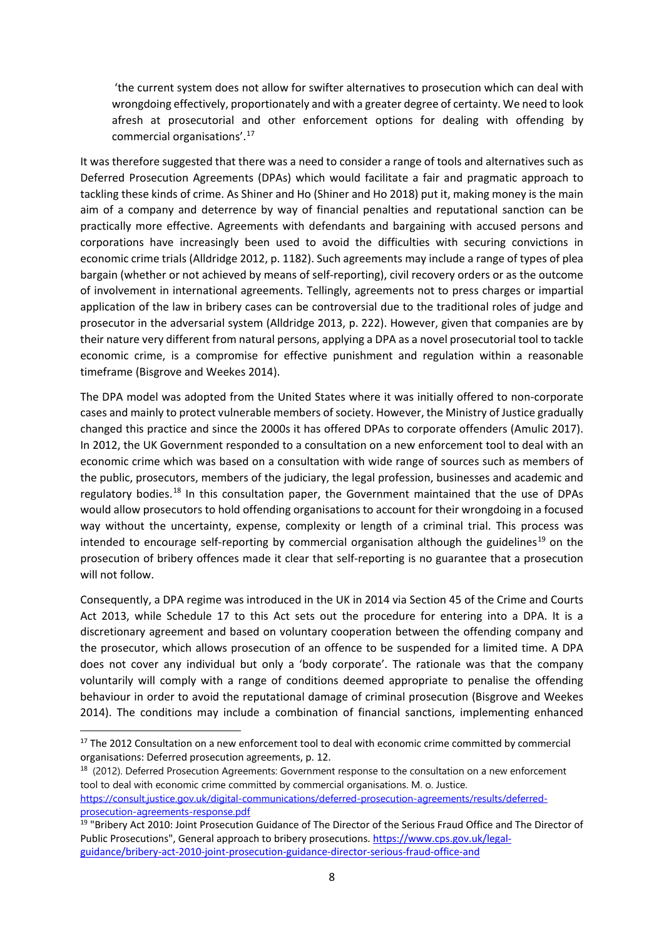'the current system does not allow for swifter alternatives to prosecution which can deal with wrongdoing effectively, proportionately and with a greater degree of certainty. We need to look afresh at prosecutorial and other enforcement options for dealing with offending by commercial organisations'.[17](#page-7-0)

It was therefore suggested that there was a need to consider a range of tools and alternatives such as Deferred Prosecution Agreements (DPAs) which would facilitate a fair and pragmatic approach to tackling these kinds of crime. As Shiner and Ho (Shiner and Ho 2018) put it, making money is the main aim of a company and deterrence by way of financial penalties and reputational sanction can be practically more effective. Agreements with defendants and bargaining with accused persons and corporations have increasingly been used to avoid the difficulties with securing convictions in economic crime trials (Alldridge 2012, p. 1182). Such agreements may include a range of types of plea bargain (whether or not achieved by means of self-reporting), civil recovery orders or as the outcome of involvement in international agreements. Tellingly, agreements not to press charges or impartial application of the law in bribery cases can be controversial due to the traditional roles of judge and prosecutor in the adversarial system (Alldridge 2013, p. 222). However, given that companies are by their nature very different from natural persons, applying a DPA as a novel prosecutorial tool to tackle economic crime, is a compromise for effective punishment and regulation within a reasonable timeframe (Bisgrove and Weekes 2014).

The DPA model was adopted from the United States where it was initially offered to non-corporate cases and mainly to protect vulnerable members of society. However, the Ministry of Justice gradually changed this practice and since the 2000s it has offered DPAs to corporate offenders (Amulic 2017). In 2012, the UK Government responded to a consultation on a new enforcement tool to deal with an economic crime which was based on a consultation with wide range of sources such as members of the public, prosecutors, members of the judiciary, the legal profession, businesses and academic and regulatory bodies.<sup>[18](#page-7-1)</sup> In this consultation paper, the Government maintained that the use of DPAs would allow prosecutors to hold offending organisations to account for their wrongdoing in a focused way without the uncertainty, expense, complexity or length of a criminal trial. This process was intended to encourage self-reporting by commercial organisation although the guidelines<sup>[19](#page-7-2)</sup> on the prosecution of bribery offences made it clear that self-reporting is no guarantee that a prosecution will not follow.

Consequently, a DPA regime was introduced in the UK in 2014 via Section 45 of the Crime and Courts Act 2013, while Schedule 17 to this Act sets out the procedure for entering into a DPA. It is a discretionary agreement and based on voluntary cooperation between the offending company and the prosecutor, which allows prosecution of an offence to be suspended for a limited time. A DPA does not cover any individual but only a 'body corporate'. The rationale was that the company voluntarily will comply with a range of conditions deemed appropriate to penalise the offending behaviour in order to avoid the reputational damage of criminal prosecution (Bisgrove and Weekes 2014). The conditions may include a combination of financial sanctions, implementing enhanced

<span id="page-7-1"></span><sup>18</sup> (2012). Deferred Prosecution Agreements: Government response to the consultation on a new enforcement tool to deal with economic crime committed by commercial organisations. M. o. Justice. [https://consult.justice.gov.uk/digital-communications/deferred-prosecution-agreements/results/deferred](https://consult.justice.gov.uk/digital-communications/deferred-prosecution-agreements/results/deferred-prosecution-agreements-response.pdf)[prosecution-agreements-response.pdf](https://consult.justice.gov.uk/digital-communications/deferred-prosecution-agreements/results/deferred-prosecution-agreements-response.pdf)

<span id="page-7-0"></span><sup>&</sup>lt;sup>17</sup> The 2012 Consultation on a new enforcement tool to deal with economic crime committed by commercial organisations: Deferred prosecution agreements, p. 12.

<span id="page-7-2"></span><sup>&</sup>lt;sup>19</sup> "Bribery Act 2010: Joint Prosecution Guidance of The Director of the Serious Fraud Office and The Director of Public Prosecutions", General approach to bribery prosecutions. [https://www.cps.gov.uk/legal](https://www.cps.gov.uk/legal-guidance/bribery-act-2010-joint-prosecution-guidance-director-serious-fraud-office-and)[guidance/bribery-act-2010-joint-prosecution-guidance-director-serious-fraud-office-and](https://www.cps.gov.uk/legal-guidance/bribery-act-2010-joint-prosecution-guidance-director-serious-fraud-office-and)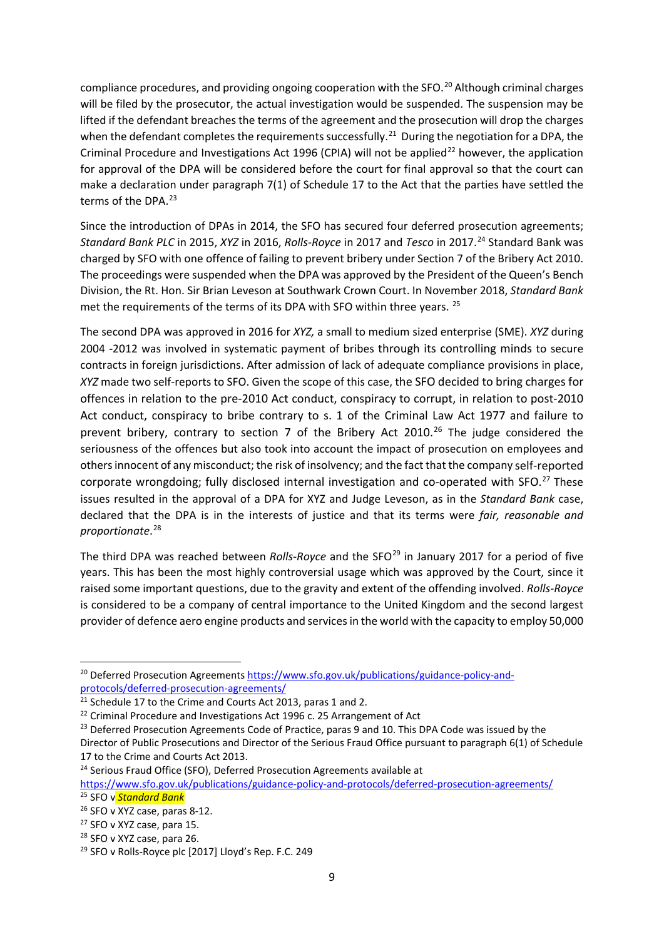compliance procedures, and providing ongoing cooperation with the SFO.<sup>[20](#page-8-0)</sup> Although criminal charges will be filed by the prosecutor, the actual investigation would be suspended. The suspension may be lifted if the defendant breaches the terms of the agreement and the prosecution will drop the charges when the defendant completes the requirements successfully.<sup>[21](#page-8-1)</sup> During the negotiation for a DPA, the Criminal Procedure and Investigations Act 1996 (CPIA) will not be applied<sup>[22](#page-8-2)</sup> however, the application for approval of the DPA will be considered before the court for final approval so that the court can make a declaration under paragraph 7(1) of Schedule 17 to the Act that the parties have settled the terms of the DPA.<sup>[23](#page-8-3)</sup>

Since the introduction of DPAs in 2014, the SFO has secured four deferred prosecution agreements; *Standard Bank PLC* in 2015, *XYZ* in 2016, *Rolls-Royce* in 2017 and *Tesco* in 2017.[24](#page-8-4) Standard Bank was charged by SFO with one offence of failing to prevent bribery under Section 7 of the Bribery Act 2010. The proceedings were suspended when the DPA was approved by the President of the Queen's Bench Division, the Rt. Hon. Sir Brian Leveson at Southwark Crown Court. In November 2018, *Standard Bank* met the requirements of the terms of its DPA with SFO within three years. <sup>[25](#page-8-5)</sup>

The second DPA was approved in 2016 for *XYZ,* a small to medium sized enterprise (SME). *XYZ* during 2004 -2012 was involved in systematic payment of bribes through its controlling minds to secure contracts in foreign jurisdictions. After admission of lack of adequate compliance provisions in place, *XYZ* made two self-reports to SFO. Given the scope of this case, the SFO decided to bring charges for offences in relation to the pre-2010 Act conduct, conspiracy to corrupt, in relation to post-2010 Act conduct, conspiracy to bribe contrary to s. 1 of the Criminal Law Act 1977 and failure to prevent bribery, contrary to section 7 of the Bribery Act  $2010.^{26}$  $2010.^{26}$  $2010.^{26}$  The judge considered the seriousness of the offences but also took into account the impact of prosecution on employees and others innocent of any misconduct; the risk of insolvency; and the fact that the company self-reported corporate wrongdoing; fully disclosed internal investigation and co-operated with SFO.<sup>[27](#page-8-7)</sup> These issues resulted in the approval of a DPA for XYZ and Judge Leveson, as in the *Standard Bank* case, declared that the DPA is in the interests of justice and that its terms were *fair, reasonable and proportionate*. [28](#page-8-8)

The third DPA was reached between *Rolls-Royce* and the SFO<sup>[29](#page-8-9)</sup> in January 2017 for a period of five years. This has been the most highly controversial usage which was approved by the Court, since it raised some important questions, due to the gravity and extent of the offending involved. *Rolls-Royce* is considered to be a company of central importance to the United Kingdom and the second largest provider of defence aero engine products and services in the world with the capacity to employ 50,000

<span id="page-8-0"></span><sup>&</sup>lt;sup>20</sup> Deferred Prosecution Agreements [https://www.sfo.gov.uk/publications/guidance-policy-and](https://www.sfo.gov.uk/publications/guidance-policy-and-protocols/deferred-prosecution-agreements/)[protocols/deferred-prosecution-agreements/](https://www.sfo.gov.uk/publications/guidance-policy-and-protocols/deferred-prosecution-agreements/)

<span id="page-8-1"></span><sup>&</sup>lt;sup>21</sup> Schedule 17 to the Crime and Courts Act 2013, paras 1 and 2.

<span id="page-8-2"></span><sup>&</sup>lt;sup>22</sup> Criminal Procedure and Investigations Act 1996 c. 25 Arrangement of Act<br><sup>23</sup> Deferred Prosecution Agreements Code of Practice, paras 9 and 10. This DPA Code was issued by the

<span id="page-8-3"></span>Director of Public Prosecutions and Director of the Serious Fraud Office pursuant to paragraph 6(1) of Schedule 17 to the Crime and Courts Act 2013.

<span id="page-8-4"></span><sup>&</sup>lt;sup>24</sup> Serious Fraud Office (SFO), Deferred Prosecution Agreements available at

<span id="page-8-5"></span><https://www.sfo.gov.uk/publications/guidance-policy-and-protocols/deferred-prosecution-agreements/> <sup>25</sup> SFO v *Standard Bank*

<span id="page-8-6"></span><sup>26</sup> SFO v XYZ case, paras 8-12.

<span id="page-8-9"></span><span id="page-8-8"></span>

<span id="page-8-7"></span><sup>&</sup>lt;sup>27</sup> SFO v XYZ case, para 15.<br><sup>28</sup> SFO v XYZ case, para 26.<br><sup>29</sup> SFO v Rolls-Royce plc [2017] Lloyd's Rep. F.C. 249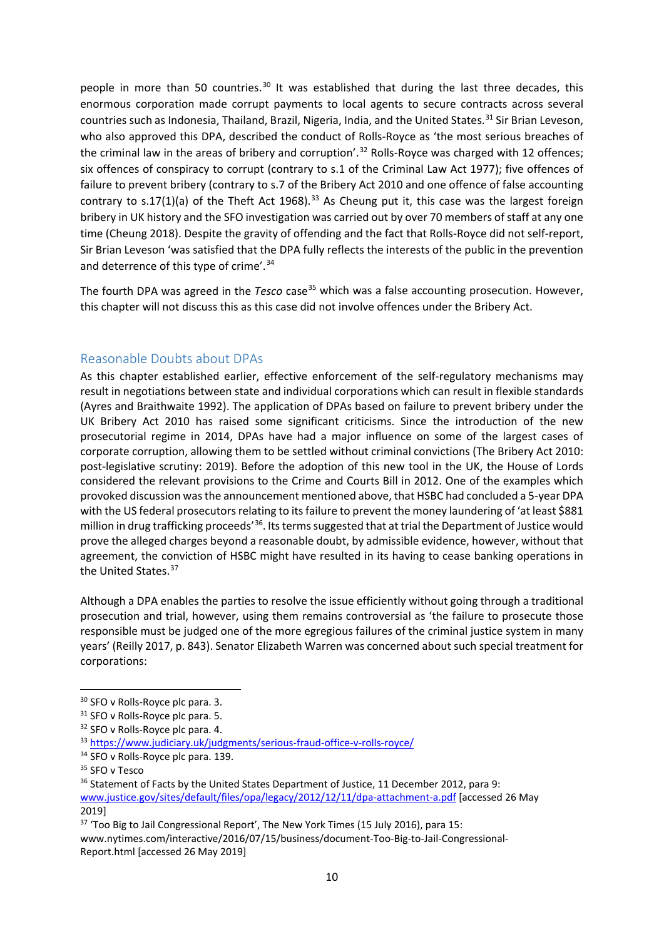people in more than 50 countries.<sup>[30](#page-9-0)</sup> It was established that during the last three decades, this enormous corporation made corrupt payments to local agents to secure contracts across several countries such as Indonesia, Thailand, Brazil, Nigeria, India, and the United States.<sup>[31](#page-9-1)</sup> Sir Brian Leveson, who also approved this DPA, described the conduct of Rolls-Royce as 'the most serious breaches of the criminal law in the areas of bribery and corruption'.<sup>[32](#page-9-2)</sup> Rolls-Royce was charged with 12 offences; six offences of conspiracy to corrupt (contrary to s.1 of the Criminal Law Act 1977); five offences of failure to prevent bribery (contrary to s.7 of the Bribery Act 2010 and one offence of false accounting contrary to s.17(1)(a) of the Theft Act 1968).<sup>[33](#page-9-3)</sup> As Cheung put it, this case was the largest foreign bribery in UK history and the SFO investigation was carried out by over 70 members of staff at any one time (Cheung 2018). Despite the gravity of offending and the fact that Rolls-Royce did not self-report, Sir Brian Leveson 'was satisfied that the DPA fully reflects the interests of the public in the prevention and deterrence of this type of crime'.<sup>[34](#page-9-4)</sup>

The fourth DPA was agreed in the *Tesco* case<sup>[35](#page-9-5)</sup> which was a false accounting prosecution. However, this chapter will not discuss this as this case did not involve offences under the Bribery Act.

# Reasonable Doubts about DPAs

As this chapter established earlier, effective enforcement of the self-regulatory mechanisms may result in negotiations between state and individual corporations which can result in flexible standards (Ayres and Braithwaite 1992). The application of DPAs based on failure to prevent bribery under the UK Bribery Act 2010 has raised some significant criticisms. Since the introduction of the new prosecutorial regime in 2014, DPAs have had a major influence on some of the largest cases of corporate corruption, allowing them to be settled without criminal convictions (The Bribery Act 2010: post-legislative scrutiny: 2019). Before the adoption of this new tool in the UK, the House of Lords considered the relevant provisions to the Crime and Courts Bill in 2012. One of the examples which provoked discussion was the announcement mentioned above, that HSBC had concluded a 5-year DPA with the US federal prosecutors relating to its failure to prevent the money laundering of 'at least \$881 million in drug trafficking proceeds<sup>'36</sup>. Its terms suggested that at trial the Department of Justice would prove the alleged charges beyond a reasonable doubt, by admissible evidence, however, without that agreement, the conviction of HSBC might have resulted in its having to cease banking operations in the United States. [37](#page-9-7)

Although a DPA enables the parties to resolve the issue efficiently without going through a traditional prosecution and trial, however, using them remains controversial as 'the failure to prosecute those responsible must be judged one of the more egregious failures of the criminal justice system in many years' (Reilly 2017, p. 843). Senator Elizabeth Warren was concerned about such special treatment for corporations:

<span id="page-9-7"></span><sup>37</sup> 'Too Big to Jail Congressional Report', The New York Times (15 July 2016), para 15: www.nytimes.com/interactive/2016/07/15/business/document-Too-Big-to-Jail-Congressional-Report.html [accessed 26 May 2019]

<span id="page-9-0"></span> <sup>30</sup> SFO v Rolls-Royce plc para. 3.

<span id="page-9-2"></span><span id="page-9-1"></span><sup>&</sup>lt;sup>31</sup> SFO v Rolls-Royce plc para. 5.<br><sup>32</sup> SFO v Rolls-Royce plc para. 4.<br><sup>33</sup> <https://www.judiciary.uk/judgments/serious-fraud-office-v-rolls-royce/>

<span id="page-9-4"></span><span id="page-9-3"></span><sup>&</sup>lt;sup>34</sup> SFO v Rolls-Royce plc para. 139.

<span id="page-9-5"></span><sup>&</sup>lt;sup>35</sup> SFO v Tesco

<span id="page-9-6"></span><sup>&</sup>lt;sup>36</sup> Statement of Facts by the United States Department of Justice, 11 December 2012, para 9: [www.justice.gov/sites/default/files/opa/legacy/2012/12/11/dpa-attachment-a.pdf](http://www.justice.gov/sites/default/files/opa/legacy/2012/12/11/dpa-attachment-a.pdf) [accessed 26 May 2019]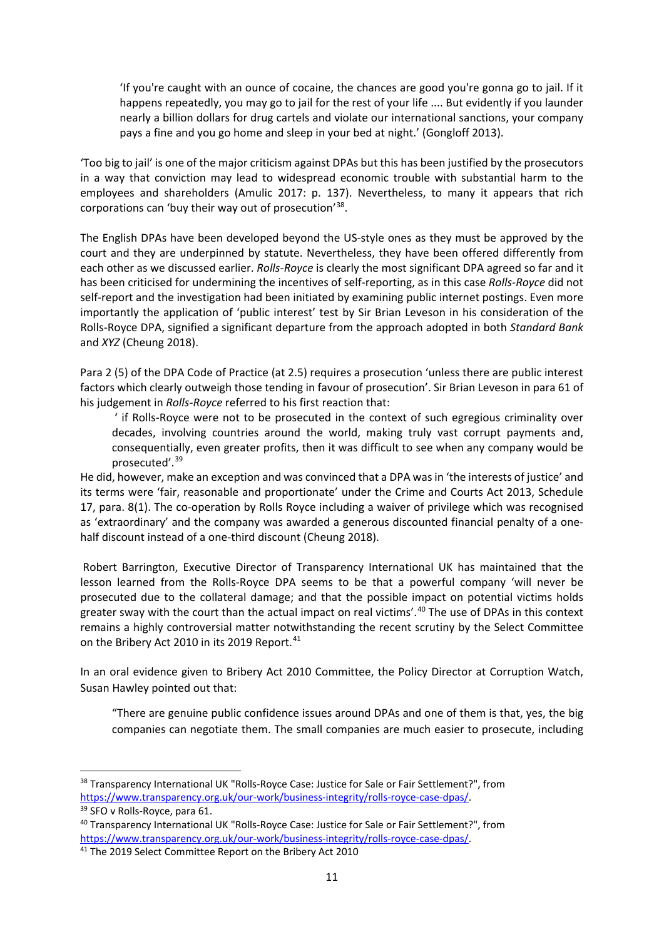'If you're caught with an ounce of cocaine, the chances are good you're gonna go to jail. If it happens repeatedly, you may go to jail for the rest of your life .... But evidently if you launder nearly a billion dollars for drug cartels and violate our international sanctions, your company pays a fine and you go home and sleep in your bed at night.' (Gongloff 2013).

'Too big to jail' is one of the major criticism against DPAs but this has been justified by the prosecutors in a way that conviction may lead to widespread economic trouble with substantial harm to the employees and shareholders (Amulic 2017: p. 137). Nevertheless, to many it appears that rich corporations can 'buy their way out of prosecution'[38](#page-10-0).

The English DPAs have been developed beyond the US-style ones as they must be approved by the court and they are underpinned by statute. Nevertheless, they have been offered differently from each other as we discussed earlier. *Rolls-Royce* is clearly the most significant DPA agreed so far and it has been criticised for undermining the incentives of self-reporting, as in this case *Rolls-Royce* did not self-report and the investigation had been initiated by examining public internet postings. Even more importantly the application of 'public interest' test by Sir Brian Leveson in his consideration of the Rolls-Royce DPA, signified a significant departure from the approach adopted in both *Standard Bank* and *XYZ* (Cheung 2018).

Para 2 (5) of the DPA Code of Practice (at 2.5) requires a prosecution 'unless there are public interest factors which clearly outweigh those tending in favour of prosecution'. Sir Brian Leveson in para 61 of his judgement in *Rolls-Royce* referred to his first reaction that:

' if Rolls-Royce were not to be prosecuted in the context of such egregious criminality over decades, involving countries around the world, making truly vast corrupt payments and, consequentially, even greater profits, then it was difficult to see when any company would be prosecuted'. [39](#page-10-1)

He did, however, make an exception and was convinced that a DPA was in 'the interests of justice' and its terms were 'fair, reasonable and proportionate' under the Crime and Courts Act 2013, Schedule 17, para. 8(1). The co-operation by Rolls Royce including a waiver of privilege which was recognised as 'extraordinary' and the company was awarded a generous discounted financial penalty of a onehalf discount instead of a one-third discount (Cheung 2018).

Robert Barrington, Executive Director of Transparency International UK has maintained that the lesson learned from the Rolls-Royce DPA seems to be that a powerful company 'will never be prosecuted due to the collateral damage; and that the possible impact on potential victims holds greater sway with the court than the actual impact on real victims'. [40](#page-10-2) The use of DPAs in this context remains a highly controversial matter notwithstanding the recent scrutiny by the Select Committee on the Bribery Act 2010 in its 2019 Report.<sup>[41](#page-10-3)</sup>

In an oral evidence given to Bribery Act 2010 Committee, the Policy Director at Corruption Watch, Susan Hawley pointed out that:

"There are genuine public confidence issues around DPAs and one of them is that, yes, the big companies can negotiate them. The small companies are much easier to prosecute, including

<span id="page-10-0"></span><sup>38</sup> Transparency International UK "Rolls-Royce Case: Justice for Sale or Fair Settlement?", from [https://www.transparency.org.uk/our-work/business-integrity/rolls-royce-case-dpas/.](https://www.transparency.org.uk/our-work/business-integrity/rolls-royce-case-dpas/)

<span id="page-10-1"></span><sup>39</sup> SFO v Rolls-Royce, para 61.

<span id="page-10-2"></span><sup>40</sup> Transparency International UK "Rolls-Royce Case: Justice for Sale or Fair Settlement?", from [https://www.transparency.org.uk/our-work/business-integrity/rolls-royce-case-dpas/.](https://www.transparency.org.uk/our-work/business-integrity/rolls-royce-case-dpas/)

<span id="page-10-3"></span><sup>41</sup> The 2019 Select Committee Report on the Bribery Act 2010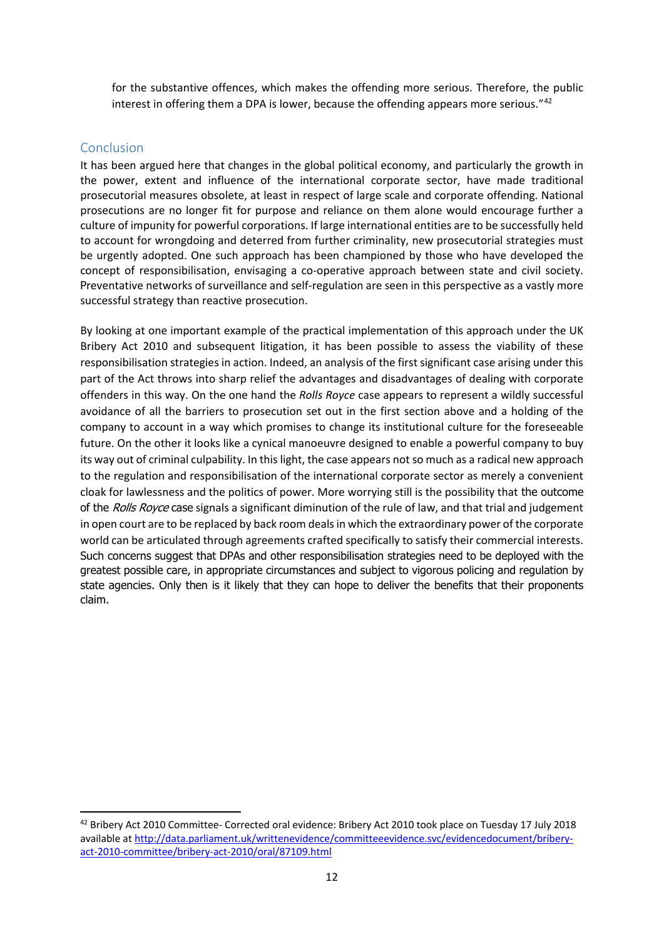for the substantive offences, which makes the offending more serious. Therefore, the public interest in offering them a DPA is lower, because the offending appears more serious."<sup>[42](#page-11-0)</sup>

## Conclusion

It has been argued here that changes in the global political economy, and particularly the growth in the power, extent and influence of the international corporate sector, have made traditional prosecutorial measures obsolete, at least in respect of large scale and corporate offending. National prosecutions are no longer fit for purpose and reliance on them alone would encourage further a culture of impunity for powerful corporations. If large international entities are to be successfully held to account for wrongdoing and deterred from further criminality, new prosecutorial strategies must be urgently adopted. One such approach has been championed by those who have developed the concept of responsibilisation, envisaging a co-operative approach between state and civil society. Preventative networks of surveillance and self-regulation are seen in this perspective as a vastly more successful strategy than reactive prosecution.

By looking at one important example of the practical implementation of this approach under the UK Bribery Act 2010 and subsequent litigation, it has been possible to assess the viability of these responsibilisation strategies in action. Indeed, an analysis of the first significant case arising under this part of the Act throws into sharp relief the advantages and disadvantages of dealing with corporate offenders in this way. On the one hand the *Rolls Royce* case appears to represent a wildly successful avoidance of all the barriers to prosecution set out in the first section above and a holding of the company to account in a way which promises to change its institutional culture for the foreseeable future. On the other it looks like a cynical manoeuvre designed to enable a powerful company to buy its way out of criminal culpability. In this light, the case appears not so much as a radical new approach to the regulation and responsibilisation of the international corporate sector as merely a convenient cloak for lawlessness and the politics of power. More worrying still is the possibility that the outcome of the Rolls Royce case signals a significant diminution of the rule of law, and that trial and judgement in open court are to be replaced by back room deals in which the extraordinary power of the corporate world can be articulated through agreements crafted specifically to satisfy their commercial interests. Such concerns suggest that DPAs and other responsibilisation strategies need to be deployed with the greatest possible care, in appropriate circumstances and subject to vigorous policing and regulation by state agencies. Only then is it likely that they can hope to deliver the benefits that their proponents claim.

<span id="page-11-0"></span> <sup>42</sup> Bribery Act 2010 Committee- Corrected oral evidence: Bribery Act 2010 took place on Tuesday 17 July 2018 available a[t http://data.parliament.uk/writtenevidence/committeeevidence.svc/evidencedocument/bribery](http://data.parliament.uk/writtenevidence/committeeevidence.svc/evidencedocument/bribery-act-2010-committee/bribery-act-2010/oral/87109.html)[act-2010-committee/bribery-act-2010/oral/87109.html](http://data.parliament.uk/writtenevidence/committeeevidence.svc/evidencedocument/bribery-act-2010-committee/bribery-act-2010/oral/87109.html)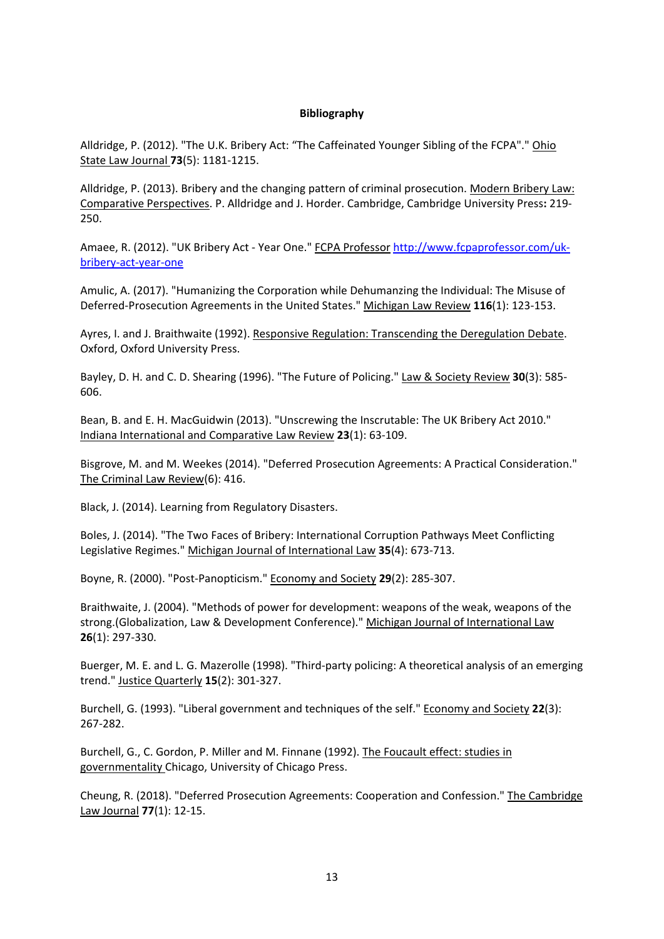#### **Bibliography**

Alldridge, P. (2012). "The U.K. Bribery Act: "The Caffeinated Younger Sibling of the FCPA"." Ohio State Law Journal **73**(5): 1181-1215.

Alldridge, P. (2013). Bribery and the changing pattern of criminal prosecution. Modern Bribery Law: Comparative Perspectives. P. Alldridge and J. Horder. Cambridge, Cambridge University Press**:** 219- 250.

Amaee, R. (2012). "UK Bribery Act - Year One." FCPA Professor [http://www.fcpaprofessor.com/uk](http://www.fcpaprofessor.com/uk-bribery-act-year-one)[bribery-act-year-one](http://www.fcpaprofessor.com/uk-bribery-act-year-one)

Amulic, A. (2017). "Humanizing the Corporation while Dehumanzing the Individual: The Misuse of Deferred-Prosecution Agreements in the United States." Michigan Law Review **116**(1): 123-153.

Ayres, I. and J. Braithwaite (1992). Responsive Regulation: Transcending the Deregulation Debate. Oxford, Oxford University Press.

Bayley, D. H. and C. D. Shearing (1996). "The Future of Policing." Law & Society Review **30**(3): 585- 606.

Bean, B. and E. H. MacGuidwin (2013). "Unscrewing the Inscrutable: The UK Bribery Act 2010." Indiana International and Comparative Law Review **23**(1): 63-109.

Bisgrove, M. and M. Weekes (2014). "Deferred Prosecution Agreements: A Practical Consideration." The Criminal Law Review(6): 416.

Black, J. (2014). Learning from Regulatory Disasters.

Boles, J. (2014). "The Two Faces of Bribery: International Corruption Pathways Meet Conflicting Legislative Regimes." Michigan Journal of International Law **35**(4): 673-713.

Boyne, R. (2000). "Post-Panopticism." Economy and Society **29**(2): 285-307.

Braithwaite, J. (2004). "Methods of power for development: weapons of the weak, weapons of the strong. (Globalization, Law & Development Conference)." Michigan Journal of International Law **26**(1): 297-330.

Buerger, M. E. and L. G. Mazerolle (1998). "Third-party policing: A theoretical analysis of an emerging trend." Justice Quarterly **15**(2): 301-327.

Burchell, G. (1993). "Liberal government and techniques of the self." Economy and Society **22**(3): 267-282.

Burchell, G., C. Gordon, P. Miller and M. Finnane (1992). The Foucault effect: studies in governmentality Chicago, University of Chicago Press.

Cheung, R. (2018). "Deferred Prosecution Agreements: Cooperation and Confession." The Cambridge Law Journal **77**(1): 12-15.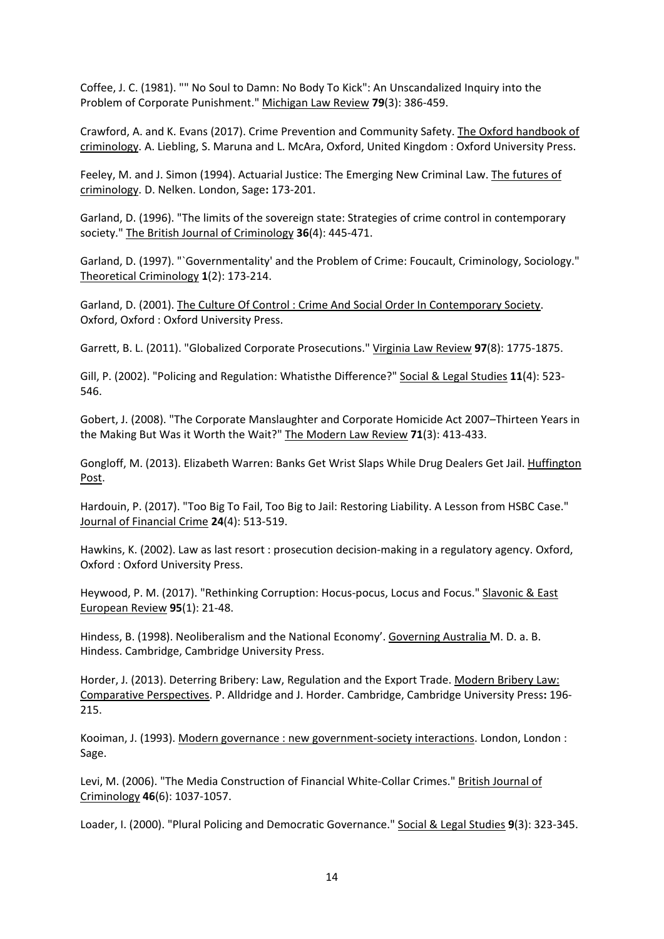Coffee, J. C. (1981). "" No Soul to Damn: No Body To Kick": An Unscandalized Inquiry into the Problem of Corporate Punishment." Michigan Law Review **79**(3): 386-459.

Crawford, A. and K. Evans (2017). Crime Prevention and Community Safety. The Oxford handbook of criminology. A. Liebling, S. Maruna and L. McAra, Oxford, United Kingdom : Oxford University Press.

Feeley, M. and J. Simon (1994). Actuarial Justice: The Emerging New Criminal Law. The futures of criminology. D. Nelken. London, Sage**:** 173-201.

Garland, D. (1996). "The limits of the sovereign state: Strategies of crime control in contemporary society." The British Journal of Criminology **36**(4): 445-471.

Garland, D. (1997). "`Governmentality' and the Problem of Crime: Foucault, Criminology, Sociology." Theoretical Criminology **1**(2): 173-214.

Garland, D. (2001). The Culture Of Control : Crime And Social Order In Contemporary Society. Oxford, Oxford : Oxford University Press.

Garrett, B. L. (2011). "Globalized Corporate Prosecutions." Virginia Law Review **97**(8): 1775-1875.

Gill, P. (2002). "Policing and Regulation: Whatisthe Difference?" Social & Legal Studies **11**(4): 523- 546.

Gobert, J. (2008). "The Corporate Manslaughter and Corporate Homicide Act 2007–Thirteen Years in the Making But Was it Worth the Wait?" The Modern Law Review **71**(3): 413-433.

Gongloff, M. (2013). Elizabeth Warren: Banks Get Wrist Slaps While Drug Dealers Get Jail. Huffington Post.

Hardouin, P. (2017). "Too Big To Fail, Too Big to Jail: Restoring Liability. A Lesson from HSBC Case." Journal of Financial Crime **24**(4): 513-519.

Hawkins, K. (2002). Law as last resort : prosecution decision-making in a regulatory agency. Oxford, Oxford : Oxford University Press.

Heywood, P. M. (2017). "Rethinking Corruption: Hocus-pocus, Locus and Focus." Slavonic & East European Review **95**(1): 21-48.

Hindess, B. (1998). Neoliberalism and the National Economy'. Governing Australia M. D. a. B. Hindess. Cambridge, Cambridge University Press.

Horder, J. (2013). Deterring Bribery: Law, Regulation and the Export Trade. Modern Bribery Law: Comparative Perspectives. P. Alldridge and J. Horder. Cambridge, Cambridge University Press**:** 196- 215.

Kooiman, J. (1993). Modern governance : new government-society interactions. London, London : Sage.

Levi, M. (2006). "The Media Construction of Financial White-Collar Crimes." British Journal of Criminology **46**(6): 1037-1057.

Loader, I. (2000). "Plural Policing and Democratic Governance." Social & Legal Studies **9**(3): 323-345.